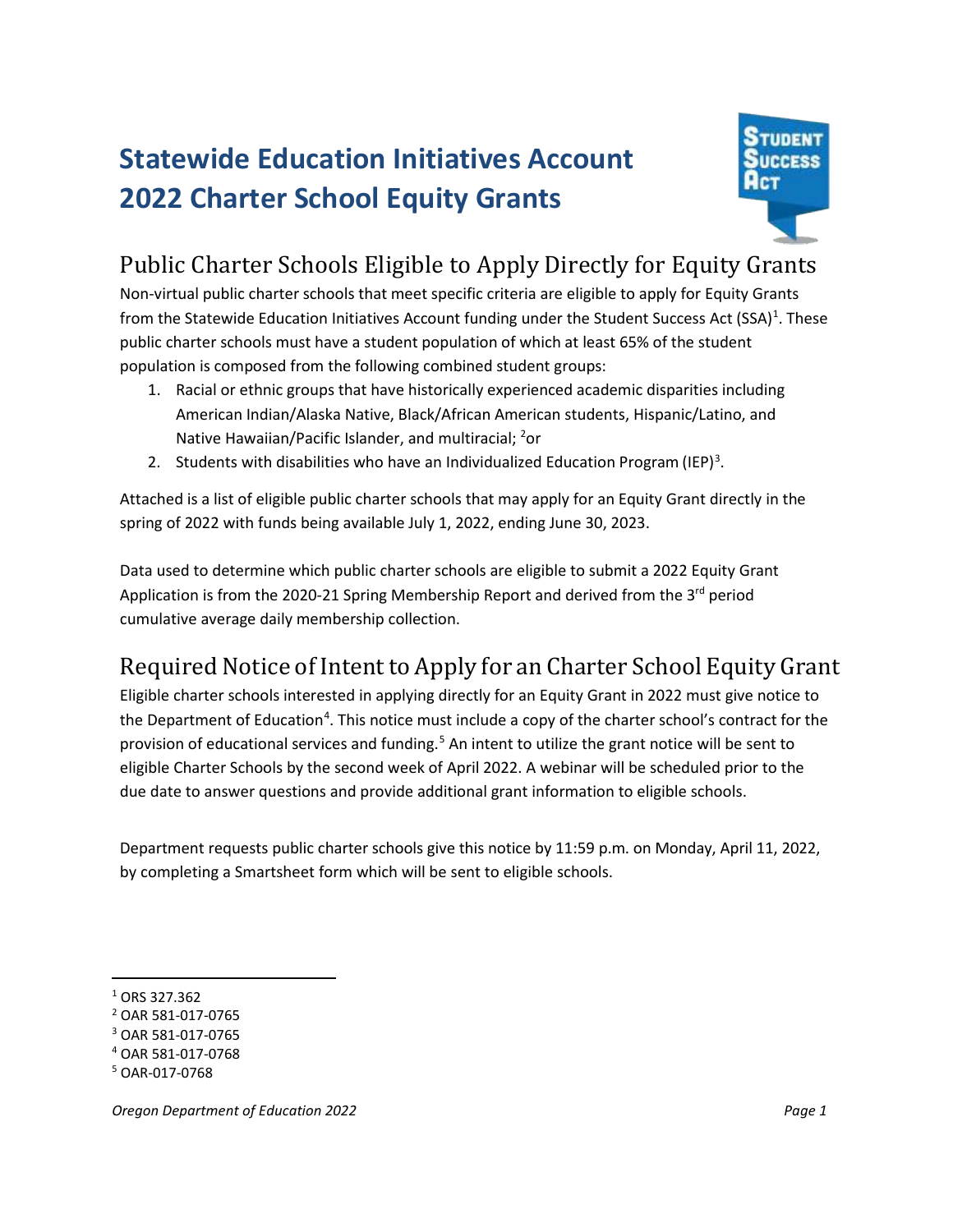## **Statewide Education Initiatives Account 2022 Charter School Equity Grants**



## Public Charter Schools Eligible to Apply Directly for Equity Grants

Non-virtual public charter schools that meet specific criteria are eligible to apply for Equity Grants from the Statewide Education Initiatives Account funding under the Student Success Act (SSA)<sup>[1](#page-0-0)</sup>. These public charter schools must have a student population of which at least 65% of the student population is composed from the following combined student groups:

- 1. Racial or ethnic groups that have historically experienced academic disparities including American Indian/Alaska Native, Black/African American students, Hispanic/Latino, and Native Hawaiian/Pacific Islander, and multiracial; <sup>[2](#page-0-1)</sup>or
- 2. Students with disabilities who have an Individualized Education Program (IEP)<sup>[3](#page-0-2)</sup>.

Attached is a list of eligible public charter schools that may apply for an Equity Grant directly in the spring of 2022 with funds being available July 1, 2022, ending June 30, 2023.

Data used to determine which public charter schools are eligible to submit a 2022 Equity Grant Application is from the 2020-21 Spring Membership Report and derived from the 3<sup>rd</sup> period cumulative average daily membership collection.

## Required Notice of Intent to Apply for an Charter School Equity Grant

Eligible charter schools interested in applying directly for an Equity Grant in 2022 must give notice to the Department of Education<sup>[4](#page-0-3)</sup>. This notice must include a copy of the charter school's contract for the provision of educational services and funding.<sup>[5](#page-0-4)</sup> An intent to utilize the grant notice will be sent to eligible Charter Schools by the second week of April 2022. A webinar will be scheduled prior to the due date to answer questions and provide additional grant information to eligible schools.

Department requests public charter schools give this notice by 11:59 p.m. on Monday, April 11, 2022, by completing a Smartsheet form which will be sent to eligible schools.

<span id="page-0-0"></span> $1$  ORS 327.362

<span id="page-0-1"></span><sup>2</sup> OAR 581-017-0765

<span id="page-0-2"></span><sup>3</sup> OAR 581-017-0765

<span id="page-0-3"></span><sup>4</sup> OAR 581-017-0768

<span id="page-0-4"></span><sup>5</sup> OAR-017-0768